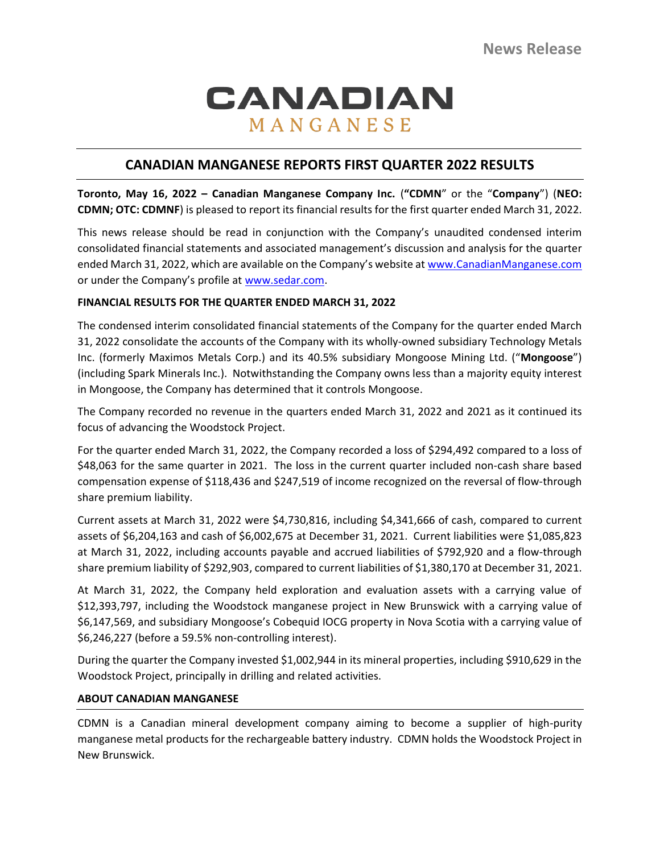# CANADIAN MANGANESE

# **CANADIAN MANGANESE REPORTS FIRST QUARTER 2022 RESULTS**

**Toronto, May 16, 2022 – Canadian Manganese Company Inc.** (**"CDMN**" or the "**Company**") (**NEO: CDMN; OTC: CDMNF**) is pleased to report its financial results for the first quarter ended March 31, 2022.

This news release should be read in conjunction with the Company's unaudited condensed interim consolidated financial statements and associated management's discussion and analysis for the quarter ended March 31, 2022, which are available on the Company's website at [www.CanadianManganese.com](http://www.canadianmanganese.com/) or under the Company's profile at [www.sedar.com.](http://www.sedar.com/)

## **FINANCIAL RESULTS FOR THE QUARTER ENDED MARCH 31, 2022**

The condensed interim consolidated financial statements of the Company for the quarter ended March 31, 2022 consolidate the accounts of the Company with its wholly-owned subsidiary Technology Metals Inc. (formerly Maximos Metals Corp.) and its 40.5% subsidiary Mongoose Mining Ltd. ("**Mongoose**") (including Spark Minerals Inc.). Notwithstanding the Company owns less than a majority equity interest in Mongoose, the Company has determined that it controls Mongoose.

The Company recorded no revenue in the quarters ended March 31, 2022 and 2021 as it continued its focus of advancing the Woodstock Project.

For the quarter ended March 31, 2022, the Company recorded a loss of \$294,492 compared to a loss of \$48,063 for the same quarter in 2021. The loss in the current quarter included non-cash share based compensation expense of \$118,436 and \$247,519 of income recognized on the reversal of flow-through share premium liability.

Current assets at March 31, 2022 were \$4,730,816, including \$4,341,666 of cash, compared to current assets of \$6,204,163 and cash of \$6,002,675 at December 31, 2021. Current liabilities were \$1,085,823 at March 31, 2022, including accounts payable and accrued liabilities of \$792,920 and a flow-through share premium liability of \$292,903, compared to current liabilities of \$1,380,170 at December 31, 2021.

At March 31, 2022, the Company held exploration and evaluation assets with a carrying value of \$12,393,797, including the Woodstock manganese project in New Brunswick with a carrying value of \$6,147,569, and subsidiary Mongoose's Cobequid IOCG property in Nova Scotia with a carrying value of \$6,246,227 (before a 59.5% non-controlling interest).

During the quarter the Company invested \$1,002,944 in its mineral properties, including \$910,629 in the Woodstock Project, principally in drilling and related activities.

### **ABOUT CANADIAN MANGANESE**

CDMN is a Canadian mineral development company aiming to become a supplier of high-purity manganese metal products for the rechargeable battery industry. CDMN holds the Woodstock Project in New Brunswick.